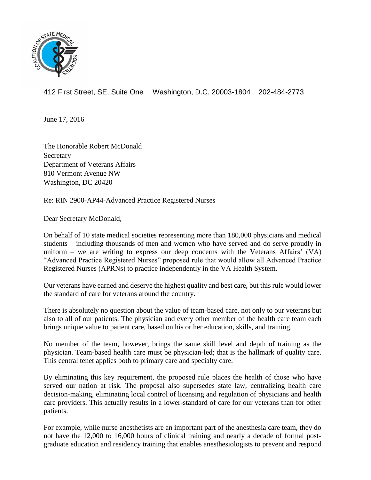

412 First Street, SE, Suite One Washington, D.C. 20003-1804 202-484-2773

June 17, 2016

The Honorable Robert McDonald Secretary Department of Veterans Affairs 810 Vermont Avenue NW Washington, DC 20420

Re: RIN 2900-AP44-Advanced Practice Registered Nurses

Dear Secretary McDonald,

On behalf of 10 state medical societies representing more than 180,000 physicians and medical students – including thousands of men and women who have served and do serve proudly in uniform – we are writing to express our deep concerns with the Veterans Affairs'  $(VA)$ "Advanced Practice Registered Nurses" proposed rule that would allow all Advanced Practice Registered Nurses (APRNs) to practice independently in the VA Health System.

Our veterans have earned and deserve the highest quality and best care, but this rule would lower the standard of care for veterans around the country.

There is absolutely no question about the value of team-based care, not only to our veterans but also to all of our patients. The physician and every other member of the health care team each brings unique value to patient care, based on his or her education, skills, and training.

No member of the team, however, brings the same skill level and depth of training as the physician. Team-based health care must be physician-led; that is the hallmark of quality care. This central tenet applies both to primary care and specialty care.

By eliminating this key requirement, the proposed rule places the health of those who have served our nation at risk. The proposal also supersedes state law, centralizing health care decision-making, eliminating local control of licensing and regulation of physicians and health care providers. This actually results in a lower-standard of care for our veterans than for other patients.

For example, while nurse anesthetists are an important part of the anesthesia care team, they do not have the 12,000 to 16,000 hours of clinical training and nearly a decade of formal postgraduate education and residency training that enables anesthesiologists to prevent and respond